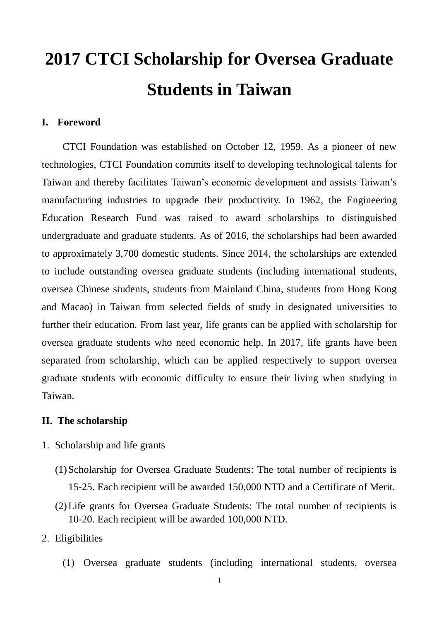# **2017 CTCI Scholarship for Oversea Graduate Students in Taiwan**

#### **I. Foreword**

CTCI Foundation was established on October 12, 1959. As a pioneer of new technologies, CTCI Foundation commits itself to developing technological talents for Taiwan and thereby facilitates Taiwan's economic development and assists Taiwan's manufacturing industries to upgrade their productivity. In 1962, the Engineering Education Research Fund was raised to award scholarships to distinguished undergraduate and graduate students. As of 2016, the scholarships had been awarded to approximately 3,700 domestic students. Since 2014, the scholarships are extended to include outstanding oversea graduate students (including international students, oversea Chinese students, students from Mainland China, students from Hong Kong and Macao) in Taiwan from selected fields of study in designated universities to further their education. From last year, life grants can be applied with scholarship for oversea graduate students who need economic help. In 2017, life grants have been separated from scholarship, which can be applied respectively to support oversea graduate students with economic difficulty to ensure their living when studying in Taiwan.

#### **II. The scholarship**

- 1. Scholarship and life grants
	- (1)Scholarship for Oversea Graduate Students: The total number of recipients is 15-25. Each recipient will be awarded 150,000 NTD and a Certificate of Merit.
	- (2)Life grants for Oversea Graduate Students: The total number of recipients is 10-20. Each recipient will be awarded 100,000 NTD.
- 2. Eligibilities
	- (1) Oversea graduate students (including international students, oversea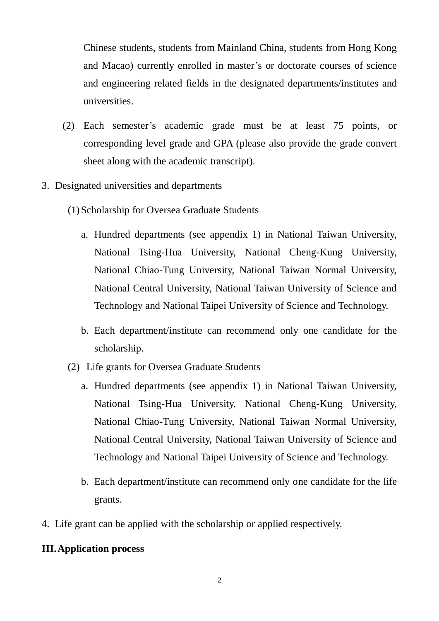Chinese students, students from Mainland China, students from Hong Kong and Macao) currently enrolled in master's or doctorate courses of science and engineering related fields in the designated departments/institutes and universities.

- (2) Each semester's academic grade must be at least 75 points, or corresponding level grade and GPA (please also provide the grade convert sheet along with the academic transcript).
- 3. Designated universities and departments
	- (1)Scholarship for Oversea Graduate Students
		- a. Hundred departments (see appendix 1) in National Taiwan University, National Tsing-Hua University, National Cheng-Kung University, National Chiao-Tung University, National Taiwan Normal University, National Central University, National Taiwan University of Science and Technology and National Taipei University of Science and Technology.
		- b. Each department/institute can recommend only one candidate for the scholarship.
	- (2) Life grants for Oversea Graduate Students
		- a. Hundred departments (see appendix 1) in National Taiwan University, National Tsing-Hua University, National Cheng-Kung University, National Chiao-Tung University, National Taiwan Normal University, National Central University, National Taiwan University of Science and Technology and National Taipei University of Science and Technology.
		- b. Each department/institute can recommend only one candidate for the life grants.
- 4. Life grant can be applied with the scholarship or applied respectively.

#### **III.Application process**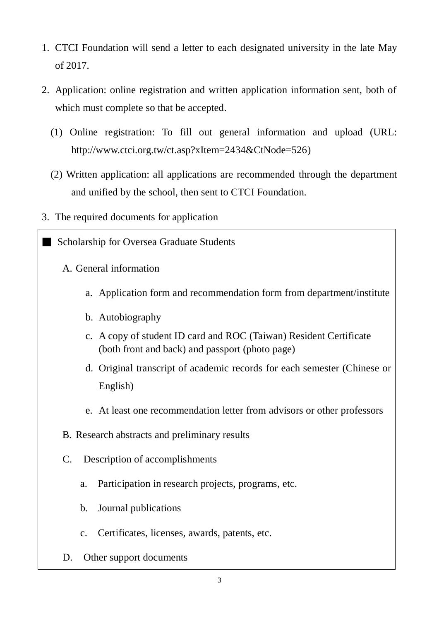- 1. CTCI Foundation will send a letter to each designated university in the late May of 2017.
- 2. Application: online registration and written application information sent, both of which must complete so that be accepted.
	- (1) Online registration: To fill out general information and upload (URL: http://www.ctci.org.tw/ct.asp?xItem=2434&CtNode=526)
	- (2) Written application: all applications are recommended through the department and unified by the school, then sent to CTCI Foundation.
- 3. The required documents for application

■ Scholarship for Oversea Graduate Students

- A. General information
	- a. Application form and recommendation form from department/institute
	- b. Autobiography
	- c. A copy of student ID card and ROC (Taiwan) Resident Certificate (both front and back) and passport (photo page)
	- d. Original transcript of academic records for each semester (Chinese or English)
	- e. At least one recommendation letter from advisors or other professors
- B. Research abstracts and preliminary results
- C. Description of accomplishments
	- a. Participation in research projects, programs, etc.
	- b. Journal publications
	- c. Certificates, licenses, awards, patents, etc.
- D. Other support documents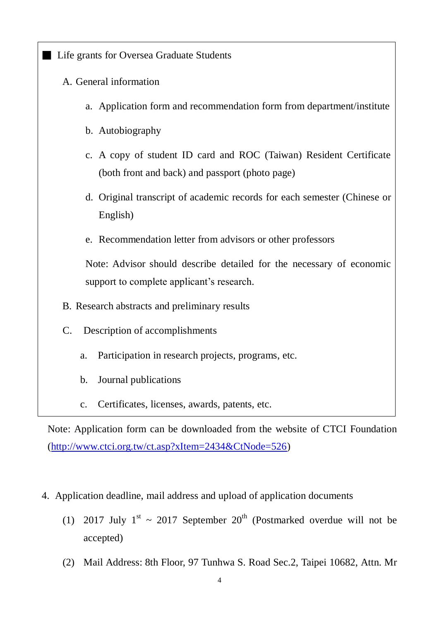**Exercise Life grants for Oversea Graduate Students** 

- A. General information
	- a. Application form and recommendation form from department/institute
	- b. Autobiography
	- c. A copy of student ID card and ROC (Taiwan) Resident Certificate (both front and back) and passport (photo page)
	- d. Original transcript of academic records for each semester (Chinese or English)
	- e. Recommendation letter from advisors or other professors

Note: Advisor should describe detailed for the necessary of economic support to complete applicant's research.

- B. Research abstracts and preliminary results
- C. Description of accomplishments
	- a. Participation in research projects, programs, etc.
	- b. Journal publications
	- c. Certificates, licenses, awards, patents, etc.

Note: Application form can be downloaded from the website of CTCI Foundation [\(http://www.ctci.org.tw/ct.asp?xItem=2434&CtNode=526\)](http://www.ctci.org.tw/ct.asp?xItem=2434&CtNode=526)

- 4. Application deadline, mail address and upload of application documents
	- (1) 2017 July  $1^{st} \sim 2017$  September  $20^{th}$  (Postmarked overdue will not be accepted)
	- (2) Mail Address: 8th Floor, 97 Tunhwa S. Road Sec.2, Taipei 10682, Attn. Mr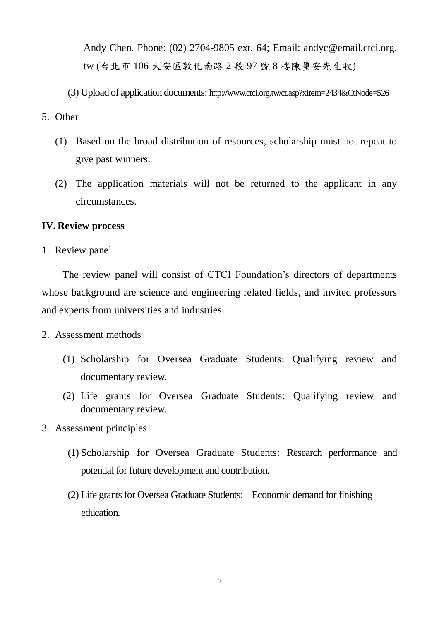Andy Chen. Phone: (02) 2704-9805 ext. 64; Email: andyc@email.ctci.org. tw (台北市 106 大安區敦化南路 2 段 97 號 8 樓陳璽安先生收)

(3) Upload of application documents: http://www.ctci.org.tw/ct.asp?xItem=2434&CtNode=526

#### 5. Other

- (1) Based on the broad distribution of resources, scholarship must not repeat to give past winners.
- (2) The application materials will not be returned to the applicant in any circumstances.

#### **IV. Review process**

1. Review panel

The review panel will consist of CTCI Foundation's directors of departments whose background are science and engineering related fields, and invited professors and experts from universities and industries.

- 2. Assessment methods
	- (1) Scholarship for Oversea Graduate Students: Qualifying review and documentary review.
	- (2) Life grants for Oversea Graduate Students: Qualifying review and documentary review.
- 3. Assessment principles
	- (1) Scholarship for Oversea Graduate Students: Research performance and potential for future development and contribution.
	- (2) Life grants for Oversea Graduate Students: Economic demand for finishing education.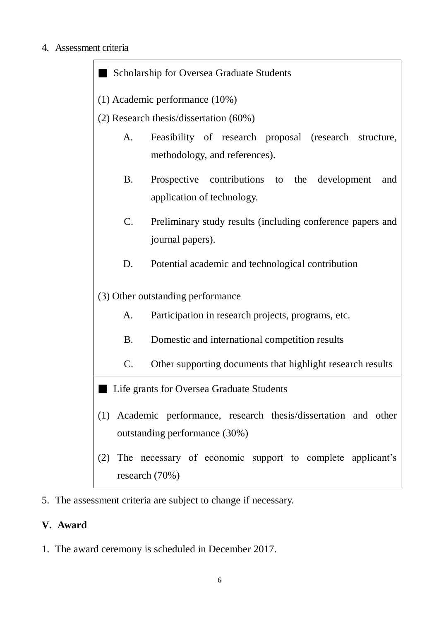## 4. Assessment criteria

Scholarship for Oversea Graduate Students (1) Academic performance (10%) (2) Research thesis/dissertation (60%) A. Feasibility of research proposal (research structure, methodology, and references). B. Prospective contributions to the development and application of technology. C. Preliminary study results (including conference papers and journal papers). D. Potential academic and technological contribution (3) Other outstanding performance A. Participation in research projects, programs, etc. B. Domestic and international competition results C. Other supporting documents that highlight research results **Exercise Life grants for Oversea Graduate Students** (1) Academic performance, research thesis/dissertation and other outstanding performance (30%) (2) The necessary of economic support to complete applicant's research (70%)

5. The assessment criteria are subject to change if necessary.

# **V. Award**

1. The award ceremony is scheduled in December 2017.